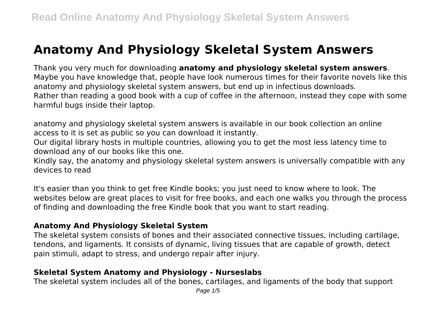# **Anatomy And Physiology Skeletal System Answers**

Thank you very much for downloading **anatomy and physiology skeletal system answers**. Maybe you have knowledge that, people have look numerous times for their favorite novels like this anatomy and physiology skeletal system answers, but end up in infectious downloads. Rather than reading a good book with a cup of coffee in the afternoon, instead they cope with some harmful bugs inside their laptop.

anatomy and physiology skeletal system answers is available in our book collection an online access to it is set as public so you can download it instantly.

Our digital library hosts in multiple countries, allowing you to get the most less latency time to download any of our books like this one.

Kindly say, the anatomy and physiology skeletal system answers is universally compatible with any devices to read

It's easier than you think to get free Kindle books; you just need to know where to look. The websites below are great places to visit for free books, and each one walks you through the process of finding and downloading the free Kindle book that you want to start reading.

#### **Anatomy And Physiology Skeletal System**

The skeletal system consists of bones and their associated connective tissues, including cartilage, tendons, and ligaments. It consists of dynamic, living tissues that are capable of growth, detect pain stimuli, adapt to stress, and undergo repair after injury.

#### **Skeletal System Anatomy and Physiology - Nurseslabs**

The skeletal system includes all of the bones, cartilages, and ligaments of the body that support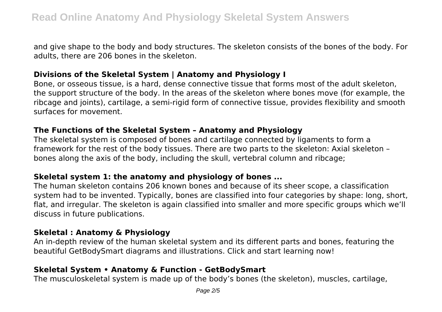and give shape to the body and body structures. The skeleton consists of the bones of the body. For adults, there are 206 bones in the skeleton.

## **Divisions of the Skeletal System | Anatomy and Physiology I**

Bone, or osseous tissue, is a hard, dense connective tissue that forms most of the adult skeleton, the support structure of the body. In the areas of the skeleton where bones move (for example, the ribcage and joints), cartilage, a semi-rigid form of connective tissue, provides flexibility and smooth surfaces for movement.

#### **The Functions of the Skeletal System – Anatomy and Physiology**

The skeletal system is composed of bones and cartilage connected by ligaments to form a framework for the rest of the body tissues. There are two parts to the skeleton: Axial skeleton – bones along the axis of the body, including the skull, vertebral column and ribcage;

## **Skeletal system 1: the anatomy and physiology of bones ...**

The human skeleton contains 206 known bones and because of its sheer scope, a classification system had to be invented. Typically, bones are classified into four categories by shape: long, short, flat, and irregular. The skeleton is again classified into smaller and more specific groups which we'll discuss in future publications.

#### **Skeletal : Anatomy & Physiology**

An in-depth review of the human skeletal system and its different parts and bones, featuring the beautiful GetBodySmart diagrams and illustrations. Click and start learning now!

## **Skeletal System • Anatomy & Function - GetBodySmart**

The musculoskeletal system is made up of the body's bones (the skeleton), muscles, cartilage,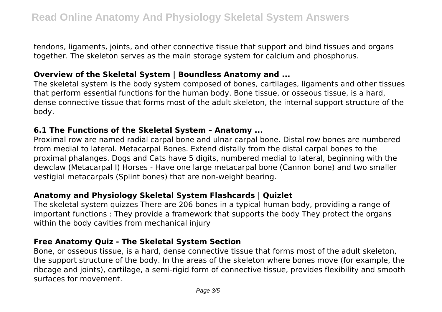tendons, ligaments, joints, and other connective tissue that support and bind tissues and organs together. The skeleton serves as the main storage system for calcium and phosphorus.

#### **Overview of the Skeletal System | Boundless Anatomy and ...**

The skeletal system is the body system composed of bones, cartilages, ligaments and other tissues that perform essential functions for the human body. Bone tissue, or osseous tissue, is a hard, dense connective tissue that forms most of the adult skeleton, the internal support structure of the body.

#### **6.1 The Functions of the Skeletal System – Anatomy ...**

Proximal row are named radial carpal bone and ulnar carpal bone. Distal row bones are numbered from medial to lateral. Metacarpal Bones. Extend distally from the distal carpal bones to the proximal phalanges. Dogs and Cats have 5 digits, numbered medial to lateral, beginning with the dewclaw (Metacarpal I) Horses - Have one large metacarpal bone (Cannon bone) and two smaller vestigial metacarpals (Splint bones) that are non-weight bearing.

## **Anatomy and Physiology Skeletal System Flashcards | Quizlet**

The skeletal system quizzes There are 206 bones in a typical human body, providing a range of important functions : They provide a framework that supports the body They protect the organs within the body cavities from mechanical injury

## **Free Anatomy Quiz - The Skeletal System Section**

Bone, or osseous tissue, is a hard, dense connective tissue that forms most of the adult skeleton, the support structure of the body. In the areas of the skeleton where bones move (for example, the ribcage and joints), cartilage, a semi-rigid form of connective tissue, provides flexibility and smooth surfaces for movement.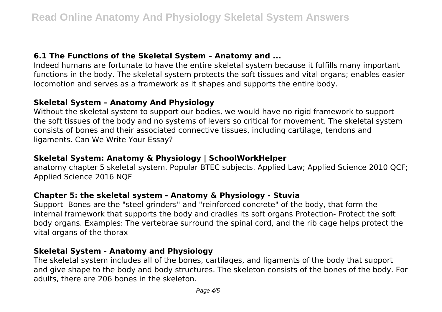## **6.1 The Functions of the Skeletal System – Anatomy and ...**

Indeed humans are fortunate to have the entire skeletal system because it fulfills many important functions in the body. The skeletal system protects the soft tissues and vital organs; enables easier locomotion and serves as a framework as it shapes and supports the entire body.

# **Skeletal System – Anatomy And Physiology**

Without the skeletal system to support our bodies, we would have no rigid framework to support the soft tissues of the body and no systems of levers so critical for movement. The skeletal system consists of bones and their associated connective tissues, including cartilage, tendons and ligaments. Can We Write Your Essay?

# **Skeletal System: Anatomy & Physiology | SchoolWorkHelper**

anatomy chapter 5 skeletal system. Popular BTEC subjects. Applied Law; Applied Science 2010 QCF; Applied Science 2016 NQF

## **Chapter 5: the skeletal system - Anatomy & Physiology - Stuvia**

Support- Bones are the "steel grinders" and "reinforced concrete" of the body, that form the internal framework that supports the body and cradles its soft organs Protection- Protect the soft body organs. Examples: The vertebrae surround the spinal cord, and the rib cage helps protect the vital organs of the thorax

## **Skeletal System - Anatomy and Physiology**

The skeletal system includes all of the bones, cartilages, and ligaments of the body that support and give shape to the body and body structures. The skeleton consists of the bones of the body. For adults, there are 206 bones in the skeleton.